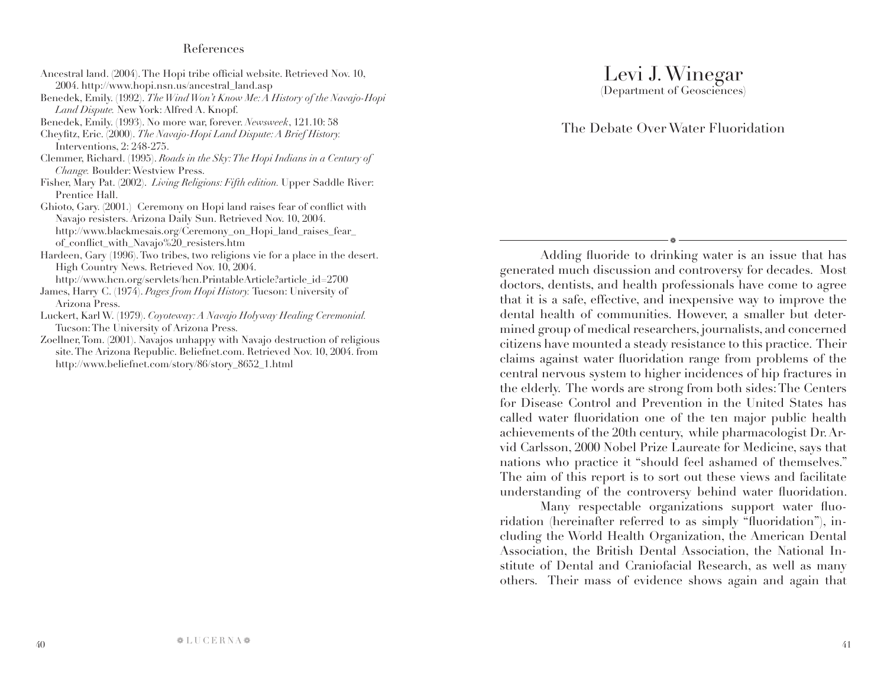## Levi J. Winegar (Department of Geosciences)

## The Debate Over Water Fluoridation

a

Adding fluoride to drinking water is an issue that has generated much discussion and controversy for decades. Most doctors, dentists, and health professionals have come to agree that it is a safe, effective, and inexpensive way to improve the dental health of communities. However, a smaller but determined group of medical researchers, journalists, and concerned citizens have mounted a steady resistance to this practice. Their claims against water fluoridation range from problems of the central nervous system to higher incidences of hip fractures in the elderly. The words are strong from both sides: The Centers for Disease Control and Prevention in the United States has called water fluoridation one of the ten major public health achievements of the 20th century, while pharmacologist Dr. Arvid Carlsson, 2000 Nobel Prize Laureate for Medicine, says that nations who practice it "should feel ashamed of themselves." The aim of this report is to sort out these views and facilitate understanding of the controversy behind water fluoridation.

Many respectable organizations support water fluoridation (hereinafter referred to as simply "fluoridation"), including the World Health Organization, the American Dental Association, the British Dental Association, the National Institute of Dental and Craniofacial Research, as well as many others. Their mass of evidence shows again and again that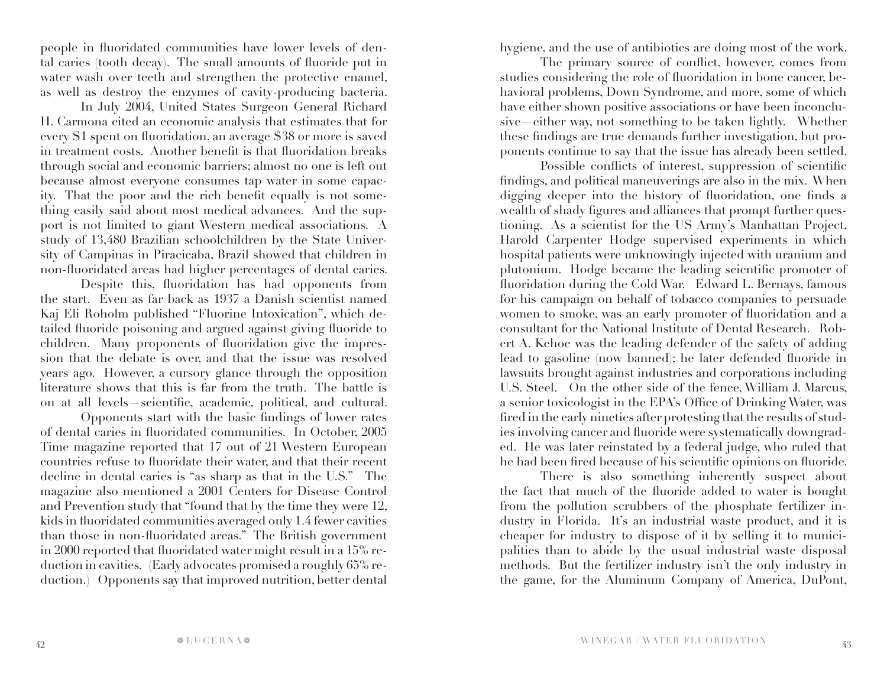people in fluoridated communities have lower levels of dental caries (tooth decay). The small amounts of fluoride put in water wash over teeth and strengthen the protective enamel, as well as destroy the enzymes of cavity-producing bacteria.

In July 2004, United States Surgeon General Richard H. Carmona cited an economic analysis that estimates that for every \$1 spent on fluoridation, an average \$38 or more is saved in treatment costs. Another benefit is that fluoridation breaks through social and economic barriers; almost no one is left out because almost everyone consumes tap water in some capacity. That the poor and the rich benefit equally is not something easily said about most medical advances. And the support is not limited to giant Western medical associations. A study of 13,480 Brazilian schoolchildren by the State University of Campinas in Piracicaba, Brazil showed that children in non-fluoridated areas had higher percentages of dental caries.

Despite this, fluoridation has had opponents from the start. Even as far back as 1937 a Danish scientist named Kaj Eli Roholm published "Fluorine Intoxication", which detailed fluoride poisoning and argued against giving fluoride to children. Many proponents of fluoridation give the impression that the debate is over, and that the issue was resolved years ago. However, a cursory glance through the opposition literature shows that this is far from the truth. The battle is on at all levels—scientific, academic, political, and cultural.

Opponents start with the basic findings of lower rates of dental caries in fluoridated communities. In October, 2005 Time magazine reported that 17 out of 21 Western European countries refuse to fluoridate their water, and that their recent decline in dental caries is "as sharp as that in the U.S." The magazine also mentioned a 2001 Centers for Disease Control and Prevention study that "found that by the time they were 12, kids in fluoridated communities averaged only 1.4 fewer cavities than those in non-fluoridated areas." The British government in 2000 reported that fluoridated water might result in a 15% reduction in cavities. (Early advocates promised a roughly 65% reduction.) Opponents say that improved nutrition, better dental

hygiene, and the use of antibiotics are doing most of the work.

The primary source of conflict, however, comes from studies considering the role of fluoridation in bone cancer, behavioral problems, Down Syndrome, and more, some of which have either shown positive associations or have been inconclusive—either way, not something to be taken lightly. Whether these findings are true demands further investigation, but proponents continue to say that the issue has already been settled.

Possible conflicts of interest, suppression of scientific findings, and political maneuverings are also in the mix. When digging deeper into the history of fluoridation, one finds a wealth of shady figures and alliances that prompt further questioning. As a scientist for the US Army's Manhattan Project, Harold Carpenter Hodge supervised experiments in which hospital patients were unknowingly injected with uranium and plutonium. Hodge became the leading scientific promoter of fluoridation during the Cold War. Edward L. Bernays, famous for his campaign on behalf of tobacco companies to persuade women to smoke, was an early promoter of fluoridation and a consultant for the National Institute of Dental Research. Robert A. Kehoe was the leading defender of the safety of adding lead to gasoline (now banned); he later defended fluoride in lawsuits brought against industries and corporations including U.S. Steel. On the other side of the fence, William J. Marcus, a senior toxicologist in the EPA's Office of Drinking Water, was fired in the early nineties after protesting that the results of studies involving cancer and fluoride were systematically downgraded. He was later reinstated by a federal judge, who ruled that he had been fired because of his scientific opinions on fluoride.

There is also something inherently suspect about the fact that much of the fluoride added to water is bought from the pollution scrubbers of the phosphate fertilizer industry in Florida. It's an industrial waste product, and it is cheaper for industry to dispose of it by selling it to municipalities than to abide by the usual industrial waste disposal methods. But the fertilizer industry isn't the only industry in the game, for the Aluminum Company of America, DuPont,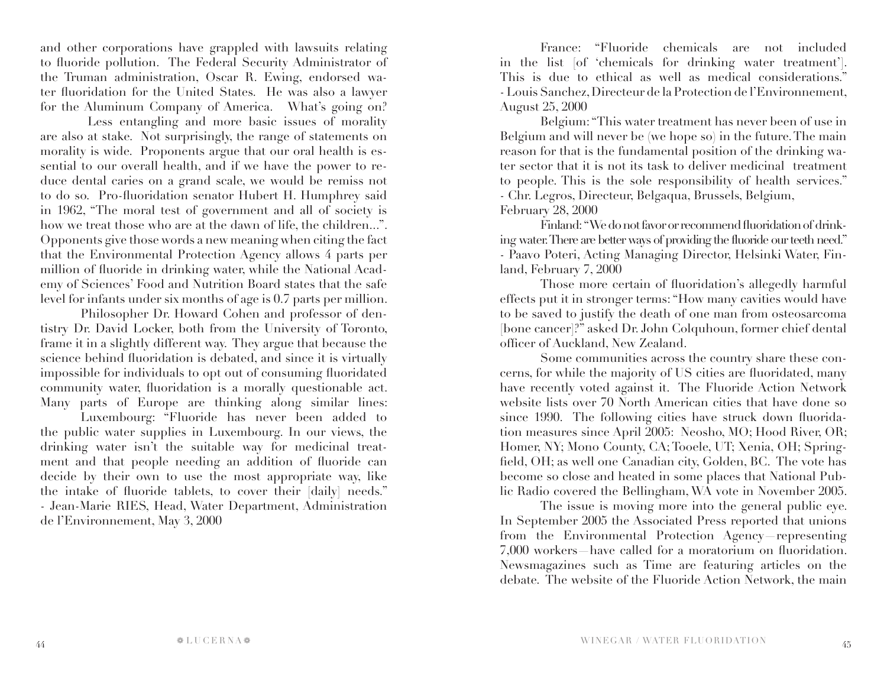and other corporations have grappled with lawsuits relating to fluoride pollution. The Federal Security Administrator of the Truman administration, Oscar R. Ewing, endorsed water fluoridation for the United States. He was also a lawyer for the Aluminum Company of America. What's going on?

 Less entangling and more basic issues of morality are also at stake. Not surprisingly, the range of statements on morality is wide. Proponents argue that our oral health is essential to our overall health, and if we have the power to reduce dental caries on a grand scale, we would be remiss not to do so. Pro-fluoridation senator Hubert H. Humphrey said in 1962, "The moral test of government and all of society is how we treat those who are at the dawn of life, the children...". Opponents give those words a new meaning when citing the fact that the Environmental Protection Agency allows 4 parts per million of fluoride in drinking water, while the National Academy of Sciences' Food and Nutrition Board states that the safe level for infants under six months of age is 0.7 parts per million.

Philosopher Dr. Howard Cohen and professor of dentistry Dr. David Locker, both from the University of Toronto, frame it in a slightly different way. They argue that because the science behind fluoridation is debated, and since it is virtually impossible for individuals to opt out of consuming fluoridated community water, fluoridation is a morally questionable act. Many parts of Europe are thinking along similar lines:

Luxembourg: "Fluoride has never been added to the public water supplies in Luxembourg. In our views, the drinking water isn't the suitable way for medicinal treatment and that people needing an addition of fluoride can decide by their own to use the most appropriate way, like the intake of fluoride tablets, to cover their [daily] needs." - Jean-Marie RIES, Head, Water Department, Administration de l'Environnement, May 3, 2000

France: "Fluoride chemicals are not included in the list [of 'chemicals for drinking water treatment']. This is due to ethical as well as medical considerations." - Louis Sanchez, Directeur de la Protection de l'Environnement, August 25, 2000

Belgium: "This water treatment has never been of use in Belgium and will never be (we hope so) in the future. The main reason for that is the fundamental position of the drinking water sector that it is not its task to deliver medicinal treatment to people. This is the sole responsibility of health services." - Chr. Legros, Directeur, Belgaqua, Brussels, Belgium, February 28, 2000

Finland: "We do not favor or recommend fluoridation of drinking water. There are better ways of providing the fluoride our teeth need." - Paavo Poteri, Acting Managing Director, Helsinki Water, Finland, February 7, 2000

Those more certain of fluoridation's allegedly harmful effects put it in stronger terms: "How many cavities would have to be saved to justify the death of one man from osteosarcoma [bone cancer]?" asked Dr. John Colquhoun, former chief dental officer of Auckland, New Zealand.

Some communities across the country share these concerns, for while the majority of US cities are fluoridated, many have recently voted against it. The Fluoride Action Network website lists over 70 North American cities that have done so since 1990. The following cities have struck down fluoridation measures since April 2005: Neosho, MO; Hood River, OR; Homer, NY; Mono County, CA; Tooele, UT; Xenia, OH; Springfield, OH; as well one Canadian city, Golden, BC. The vote has become so close and heated in some places that National Public Radio covered the Bellingham, WA vote in November 2005.

The issue is moving more into the general public eye. In September 2005 the Associated Press reported that unions from the Environmental Protection Agency—representing 7,000 workers—have called for a moratorium on fluoridation. Newsmagazines such as Time are featuring articles on the debate. The website of the Fluoride Action Network, the main